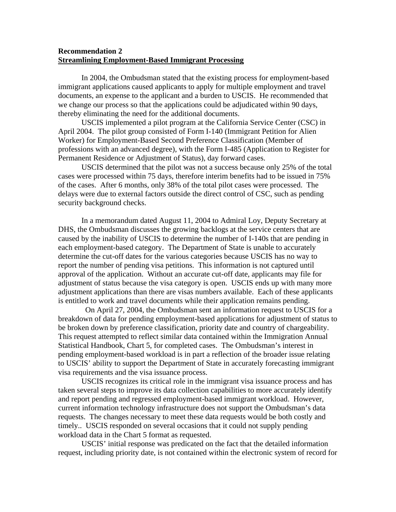## **Recommendation 2 Streamlining Employment-Based Immigrant Processing**

In 2004, the Ombudsman stated that the existing process for employment-based immigrant applications caused applicants to apply for multiple employment and travel documents, an expense to the applicant and a burden to USCIS. He recommended that we change our process so that the applications could be adjudicated within 90 days, thereby eliminating the need for the additional documents.

 USCIS implemented a pilot program at the California Service Center (CSC) in April 2004. The pilot group consisted of Form I-140 (Immigrant Petition for Alien Worker) for Employment-Based Second Preference Classification (Member of professions with an advanced degree), with the Form I-485 (Application to Register for Permanent Residence or Adjustment of Status), day forward cases.

 USCIS determined that the pilot was not a success because only 25% of the total cases were processed within 75 days, therefore interim benefits had to be issued in 75% of the cases. After 6 months, only 38% of the total pilot cases were processed. The delays were due to external factors outside the direct control of CSC, such as pending security background checks.

 In a memorandum dated August 11, 2004 to Admiral Loy, Deputy Secretary at DHS, the Ombudsman discusses the growing backlogs at the service centers that are caused by the inability of USCIS to determine the number of I-140s that are pending in each employment-based category. The Department of State is unable to accurately determine the cut-off dates for the various categories because USCIS has no way to report the number of pending visa petitions. This information is not captured until approval of the application. Without an accurate cut-off date, applicants may file for adjustment of status because the visa category is open. USCIS ends up with many more adjustment applications than there are visas numbers available. Each of these applicants is entitled to work and travel documents while their application remains pending.

 On April 27, 2004, the Ombudsman sent an information request to USCIS for a breakdown of data for pending employment-based applications for adjustment of status to be broken down by preference classification, priority date and country of chargeability. This request attempted to reflect similar data contained within the Immigration Annual Statistical Handbook, Chart 5, for completed cases. The Ombudsman's interest in pending employment-based workload is in part a reflection of the broader issue relating to USCIS' ability to support the Department of State in accurately forecasting immigrant visa requirements and the visa issuance process.

USCIS recognizes its critical role in the immigrant visa issuance process and has taken several steps to improve its data collection capabilities to more accurately identify and report pending and regressed employment-based immigrant workload. However, current information technology infrastructure does not support the Ombudsman's data requests. The changes necessary to meet these data requests would be both costly and timely.. USCIS responded on several occasions that it could not supply pending workload data in the Chart 5 format as requested.

USCIS' initial response was predicated on the fact that the detailed information request, including priority date, is not contained within the electronic system of record for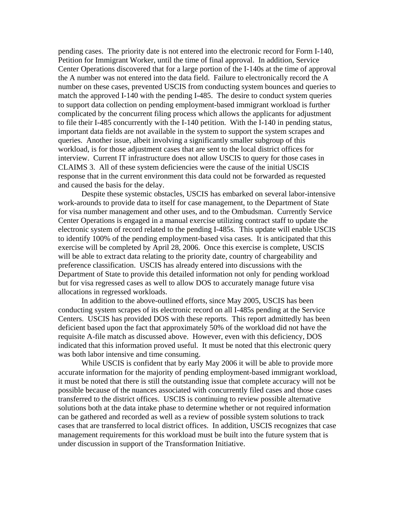pending cases. The priority date is not entered into the electronic record for Form I-140, Petition for Immigrant Worker, until the time of final approval. In addition, Service Center Operations discovered that for a large portion of the I-140s at the time of approval the A number was not entered into the data field. Failure to electronically record the A number on these cases, prevented USCIS from conducting system bounces and queries to match the approved I-140 with the pending I-485. The desire to conduct system queries to support data collection on pending employment-based immigrant workload is further complicated by the concurrent filing process which allows the applicants for adjustment to file their I-485 concurrently with the I-140 petition. With the I-140 in pending status, important data fields are not available in the system to support the system scrapes and queries. Another issue, albeit involving a significantly smaller subgroup of this workload, is for those adjustment cases that are sent to the local district offices for interview. Current IT infrastructure does not allow USCIS to query for those cases in CLAIMS 3. All of these system deficiencies were the cause of the initial USCIS response that in the current environment this data could not be forwarded as requested and caused the basis for the delay.

Despite these systemic obstacles, USCIS has embarked on several labor-intensive work-arounds to provide data to itself for case management, to the Department of State for visa number management and other uses, and to the Ombudsman. Currently Service Center Operations is engaged in a manual exercise utilizing contract staff to update the electronic system of record related to the pending I-485s. This update will enable USCIS to identify 100% of the pending employment-based visa cases. It is anticipated that this exercise will be completed by April 28, 2006. Once this exercise is complete, USCIS will be able to extract data relating to the priority date, country of chargeability and preference classification. USCIS has already entered into discussions with the Department of State to provide this detailed information not only for pending workload but for visa regressed cases as well to allow DOS to accurately manage future visa allocations in regressed workloads.

In addition to the above-outlined efforts, since May 2005, USCIS has been conducting system scrapes of its electronic record on all I-485s pending at the Service Centers. USCIS has provided DOS with these reports. This report admittedly has been deficient based upon the fact that approximately 50% of the workload did not have the requisite A-file match as discussed above. However, even with this deficiency, DOS indicated that this information proved useful. It must be noted that this electronic query was both labor intensive and time consuming.

While USCIS is confident that by early May 2006 it will be able to provide more accurate information for the majority of pending employment-based immigrant workload, it must be noted that there is still the outstanding issue that complete accuracy will not be possible because of the nuances associated with concurrently filed cases and those cases transferred to the district offices. USCIS is continuing to review possible alternative solutions both at the data intake phase to determine whether or not required information can be gathered and recorded as well as a review of possible system solutions to track cases that are transferred to local district offices. In addition, USCIS recognizes that case management requirements for this workload must be built into the future system that is under discussion in support of the Transformation Initiative.